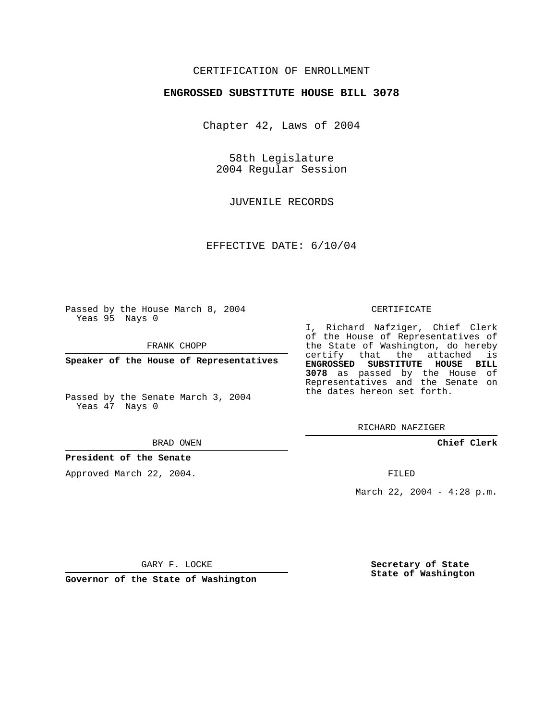## CERTIFICATION OF ENROLLMENT

### **ENGROSSED SUBSTITUTE HOUSE BILL 3078**

Chapter 42, Laws of 2004

58th Legislature 2004 Regular Session

JUVENILE RECORDS

EFFECTIVE DATE: 6/10/04

Passed by the House March 8, 2004 Yeas 95 Nays 0

FRANK CHOPP

**Speaker of the House of Representatives**

Passed by the Senate March 3, 2004 Yeas 47 Nays 0

#### BRAD OWEN

## **President of the Senate**

Approved March 22, 2004.

#### CERTIFICATE

I, Richard Nafziger, Chief Clerk of the House of Representatives of the State of Washington, do hereby certify that the attached is **ENGROSSED SUBSTITUTE HOUSE BILL 3078** as passed by the House of Representatives and the Senate on the dates hereon set forth.

RICHARD NAFZIGER

**Chief Clerk**

FILED

March 22, 2004 - 4:28 p.m.

GARY F. LOCKE

**Governor of the State of Washington**

**Secretary of State State of Washington**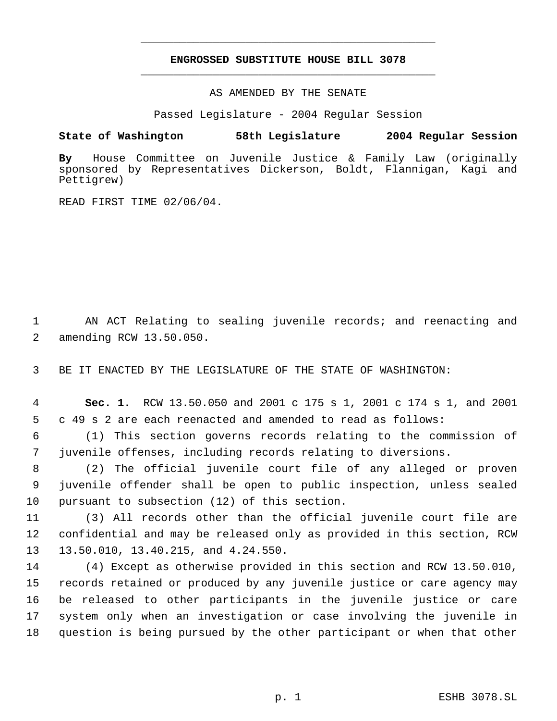# **ENGROSSED SUBSTITUTE HOUSE BILL 3078** \_\_\_\_\_\_\_\_\_\_\_\_\_\_\_\_\_\_\_\_\_\_\_\_\_\_\_\_\_\_\_\_\_\_\_\_\_\_\_\_\_\_\_\_\_

\_\_\_\_\_\_\_\_\_\_\_\_\_\_\_\_\_\_\_\_\_\_\_\_\_\_\_\_\_\_\_\_\_\_\_\_\_\_\_\_\_\_\_\_\_

AS AMENDED BY THE SENATE

Passed Legislature - 2004 Regular Session

## **State of Washington 58th Legislature 2004 Regular Session**

**By** House Committee on Juvenile Justice & Family Law (originally sponsored by Representatives Dickerson, Boldt, Flannigan, Kagi and Pettigrew)

READ FIRST TIME 02/06/04.

1 AN ACT Relating to sealing juvenile records; and reenacting and 2 amending RCW 13.50.050.

3 BE IT ENACTED BY THE LEGISLATURE OF THE STATE OF WASHINGTON:

 4 **Sec. 1.** RCW 13.50.050 and 2001 c 175 s 1, 2001 c 174 s 1, and 2001 5 c 49 s 2 are each reenacted and amended to read as follows:

 6 (1) This section governs records relating to the commission of 7 juvenile offenses, including records relating to diversions.

 8 (2) The official juvenile court file of any alleged or proven 9 juvenile offender shall be open to public inspection, unless sealed 10 pursuant to subsection (12) of this section.

11 (3) All records other than the official juvenile court file are 12 confidential and may be released only as provided in this section, RCW 13 13.50.010, 13.40.215, and 4.24.550.

 (4) Except as otherwise provided in this section and RCW 13.50.010, records retained or produced by any juvenile justice or care agency may be released to other participants in the juvenile justice or care system only when an investigation or case involving the juvenile in question is being pursued by the other participant or when that other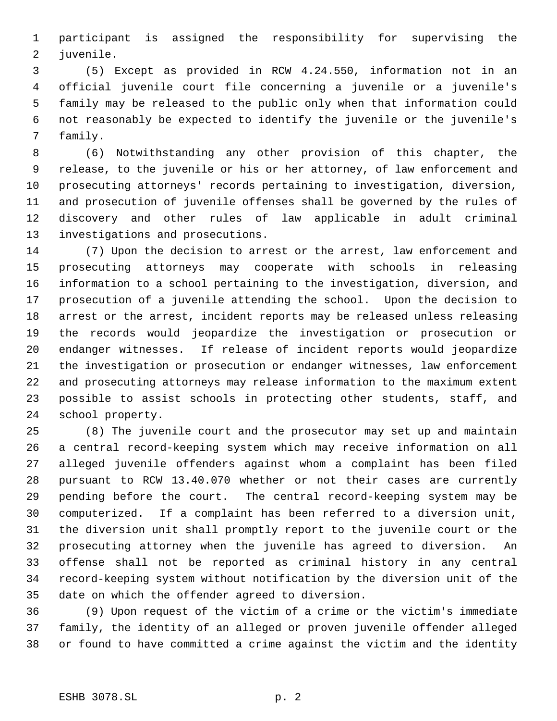participant is assigned the responsibility for supervising the juvenile.

 (5) Except as provided in RCW 4.24.550, information not in an official juvenile court file concerning a juvenile or a juvenile's family may be released to the public only when that information could not reasonably be expected to identify the juvenile or the juvenile's family.

 (6) Notwithstanding any other provision of this chapter, the release, to the juvenile or his or her attorney, of law enforcement and prosecuting attorneys' records pertaining to investigation, diversion, and prosecution of juvenile offenses shall be governed by the rules of discovery and other rules of law applicable in adult criminal investigations and prosecutions.

 (7) Upon the decision to arrest or the arrest, law enforcement and prosecuting attorneys may cooperate with schools in releasing information to a school pertaining to the investigation, diversion, and prosecution of a juvenile attending the school. Upon the decision to arrest or the arrest, incident reports may be released unless releasing the records would jeopardize the investigation or prosecution or endanger witnesses. If release of incident reports would jeopardize the investigation or prosecution or endanger witnesses, law enforcement and prosecuting attorneys may release information to the maximum extent possible to assist schools in protecting other students, staff, and school property.

 (8) The juvenile court and the prosecutor may set up and maintain a central record-keeping system which may receive information on all alleged juvenile offenders against whom a complaint has been filed pursuant to RCW 13.40.070 whether or not their cases are currently pending before the court. The central record-keeping system may be computerized. If a complaint has been referred to a diversion unit, the diversion unit shall promptly report to the juvenile court or the prosecuting attorney when the juvenile has agreed to diversion. An offense shall not be reported as criminal history in any central record-keeping system without notification by the diversion unit of the date on which the offender agreed to diversion.

 (9) Upon request of the victim of a crime or the victim's immediate family, the identity of an alleged or proven juvenile offender alleged or found to have committed a crime against the victim and the identity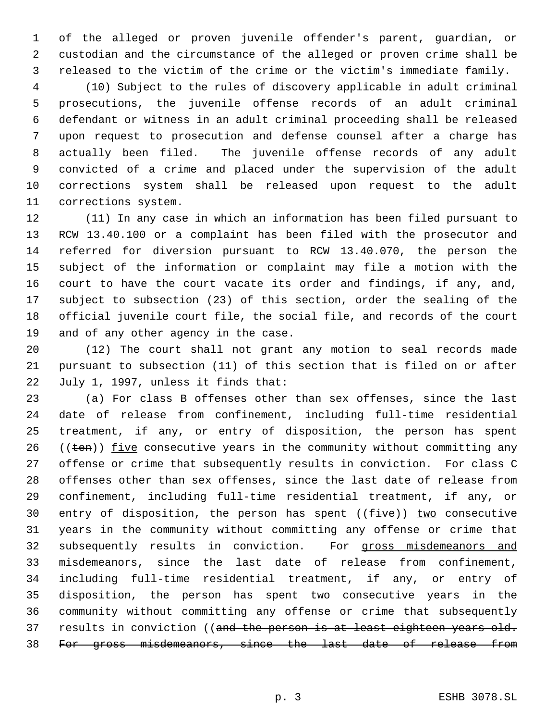of the alleged or proven juvenile offender's parent, guardian, or custodian and the circumstance of the alleged or proven crime shall be released to the victim of the crime or the victim's immediate family.

 (10) Subject to the rules of discovery applicable in adult criminal prosecutions, the juvenile offense records of an adult criminal defendant or witness in an adult criminal proceeding shall be released upon request to prosecution and defense counsel after a charge has actually been filed. The juvenile offense records of any adult convicted of a crime and placed under the supervision of the adult corrections system shall be released upon request to the adult corrections system.

 (11) In any case in which an information has been filed pursuant to RCW 13.40.100 or a complaint has been filed with the prosecutor and referred for diversion pursuant to RCW 13.40.070, the person the subject of the information or complaint may file a motion with the court to have the court vacate its order and findings, if any, and, subject to subsection (23) of this section, order the sealing of the official juvenile court file, the social file, and records of the court and of any other agency in the case.

 (12) The court shall not grant any motion to seal records made pursuant to subsection (11) of this section that is filed on or after July 1, 1997, unless it finds that:

 (a) For class B offenses other than sex offenses, since the last date of release from confinement, including full-time residential treatment, if any, or entry of disposition, the person has spent  $((ten))$  five consecutive years in the community without committing any offense or crime that subsequently results in conviction. For class C offenses other than sex offenses, since the last date of release from confinement, including full-time residential treatment, if any, or 30 entry of disposition, the person has spent  $((five))$  two consecutive years in the community without committing any offense or crime that subsequently results in conviction. For gross misdemeanors and misdemeanors, since the last date of release from confinement, including full-time residential treatment, if any, or entry of disposition, the person has spent two consecutive years in the community without committing any offense or crime that subsequently 37 results in conviction ((and the person is at least eighteen years old. 38 For gross misdemeanors, since the last date of release from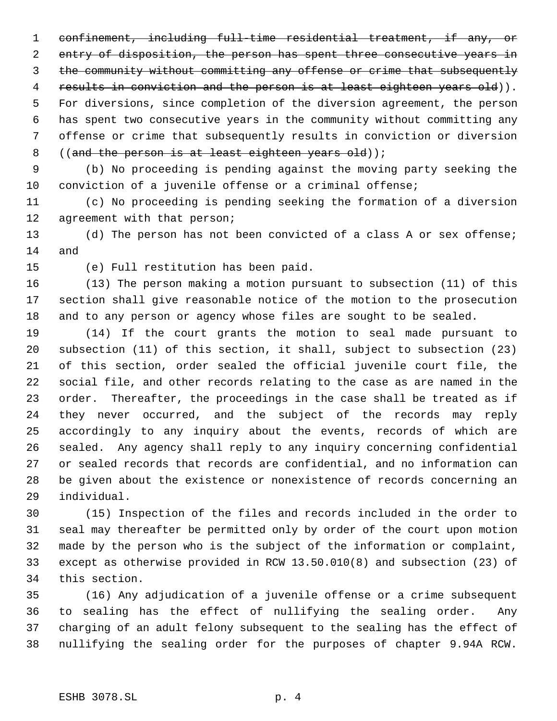confinement, including full-time residential treatment, if any, or 2 entry of disposition, the person has spent three consecutive years in the community without committing any offense or crime that subsequently 4 results in conviction and the person is at least eighteen years old)). For diversions, since completion of the diversion agreement, the person has spent two consecutive years in the community without committing any offense or crime that subsequently results in conviction or diversion 8 ((and the person is at least eighteen years old));

 (b) No proceeding is pending against the moving party seeking the conviction of a juvenile offense or a criminal offense;

 (c) No proceeding is pending seeking the formation of a diversion agreement with that person;

 (d) The person has not been convicted of a class A or sex offense; and

(e) Full restitution has been paid.

 (13) The person making a motion pursuant to subsection (11) of this section shall give reasonable notice of the motion to the prosecution and to any person or agency whose files are sought to be sealed.

 (14) If the court grants the motion to seal made pursuant to subsection (11) of this section, it shall, subject to subsection (23) of this section, order sealed the official juvenile court file, the social file, and other records relating to the case as are named in the order. Thereafter, the proceedings in the case shall be treated as if they never occurred, and the subject of the records may reply accordingly to any inquiry about the events, records of which are sealed. Any agency shall reply to any inquiry concerning confidential or sealed records that records are confidential, and no information can be given about the existence or nonexistence of records concerning an individual.

 (15) Inspection of the files and records included in the order to seal may thereafter be permitted only by order of the court upon motion made by the person who is the subject of the information or complaint, except as otherwise provided in RCW 13.50.010(8) and subsection (23) of this section.

 (16) Any adjudication of a juvenile offense or a crime subsequent to sealing has the effect of nullifying the sealing order. Any charging of an adult felony subsequent to the sealing has the effect of nullifying the sealing order for the purposes of chapter 9.94A RCW.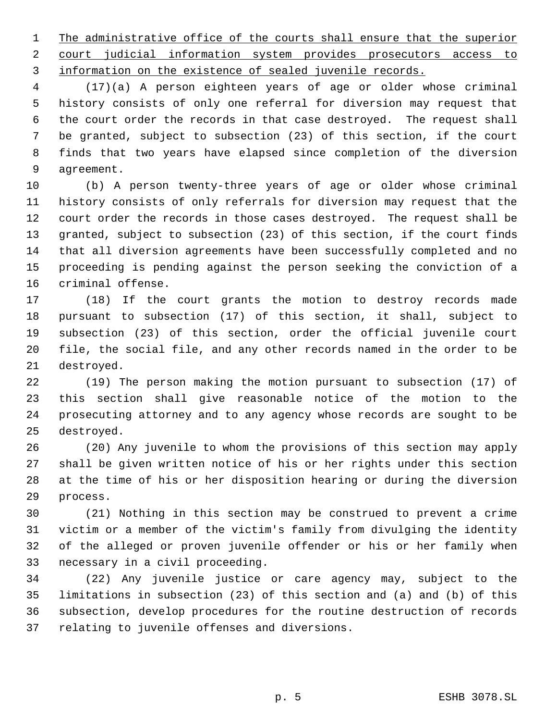1 The administrative office of the courts shall ensure that the superior court judicial information system provides prosecutors access to information on the existence of sealed juvenile records.

 (17)(a) A person eighteen years of age or older whose criminal history consists of only one referral for diversion may request that the court order the records in that case destroyed. The request shall be granted, subject to subsection (23) of this section, if the court finds that two years have elapsed since completion of the diversion agreement.

 (b) A person twenty-three years of age or older whose criminal history consists of only referrals for diversion may request that the court order the records in those cases destroyed. The request shall be granted, subject to subsection (23) of this section, if the court finds that all diversion agreements have been successfully completed and no proceeding is pending against the person seeking the conviction of a criminal offense.

 (18) If the court grants the motion to destroy records made pursuant to subsection (17) of this section, it shall, subject to subsection (23) of this section, order the official juvenile court file, the social file, and any other records named in the order to be destroyed.

 (19) The person making the motion pursuant to subsection (17) of this section shall give reasonable notice of the motion to the prosecuting attorney and to any agency whose records are sought to be destroyed.

 (20) Any juvenile to whom the provisions of this section may apply shall be given written notice of his or her rights under this section at the time of his or her disposition hearing or during the diversion process.

 (21) Nothing in this section may be construed to prevent a crime victim or a member of the victim's family from divulging the identity of the alleged or proven juvenile offender or his or her family when necessary in a civil proceeding.

 (22) Any juvenile justice or care agency may, subject to the limitations in subsection (23) of this section and (a) and (b) of this subsection, develop procedures for the routine destruction of records relating to juvenile offenses and diversions.